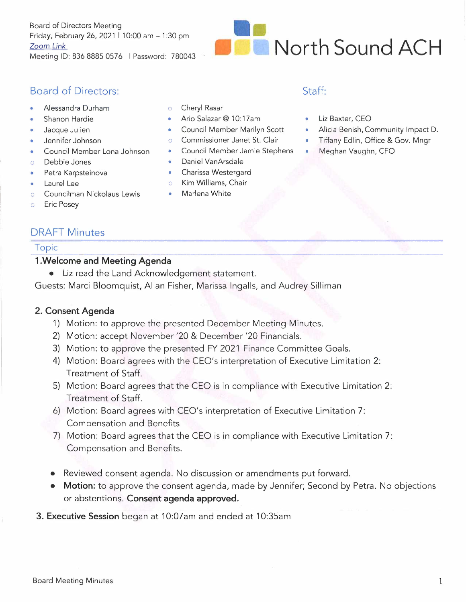Board of Directors Meeting Friday, February 26, 2021 I 10:00 am - 1 :30 pm Zoom *Link*  Meeting ID: 836 8885 0576 I Password: 780043



## Board of Directors: Staff:

- Alessandra Durham
- Shanon Hardie
- Jacque Julien
- Jennifer Johnson
- Council Member Lona Johnson
- o Debbie Jones
- Petra Karpsteinova
- Laurel Lee
- o Councilman Nickolaus Lewis
- Cheryl Rasar
- Ario Salazar@ 10:17am
- Council Member Marilyn Scott
- Commissioner Janet St. Clair
- Council Member Jamie Stephens
- Daniel VanArsdale
- Charissa Westergard
- o Kim Williams, Chair
- Marlena White

- 1970)

- Liz Baxter, CEO
- Alicia Benish, Community Impact D.
- Tiffany Edlin, Office & Gov. Mngr
- Meghan Vaughn, CFO

o Eric Posey

# DRAFT Minutes DRAFT Minutes<br>Topic<br>1 Welcome and Meeting Agenda

#### **1.Welcome and Meeting Agenda**

• Liz read the Land Acknowledgement statement.

Guests: Marci Bloomquist, Allan Fisher, Marissa Ingalls, and Audrey Silliman

### **2. Consent Agenda**

- 1) Motion: to approve the presented December Meeting Minutes.
- 2) Motion: accept November '20 & December '20 Financials.
- 3) Motion: to approve the presented FY 2021 Finance Committee Goals.
- 4) Motion: Board agrees with the CEO's interpretation of Executive Limitation 2: Treatment of Staff.
- 5) Motion: Board agrees that the CEO is in compliance with Executive Limitation **2:**  Treatment of Staff.
- 6) Motion: Board agrees with CEO's interpretation of Executive Limitation 7: Compensation and Benefits
- 7) Motion: Board agrees that the CEO is in compliance with Executive Limitation 7: Compensation and Benefits.
- Reviewed consent agenda. No discussion or amendments put forward.
- **Motion:** to approve the consent agenda, made by Jennifer; Second by Petra. No objections or abstentions. **Consent agenda approved.**
- **3. Executive Session** began at 10:07am and ended at 10:35am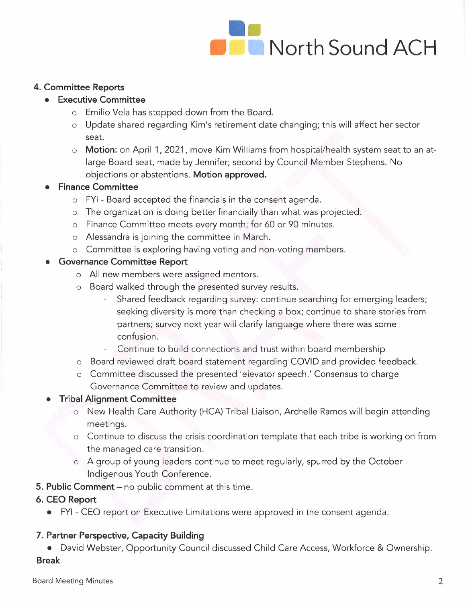

#### **4. Committee Reports**

#### **• Executive Committee**

- o Emilio Vela has stepped down from the Board.
- o Update shared regarding Kim's retirement date changing; this will affect her sector seat.
- o **Motion:** on April 1, 2021, move Kim Williams from hospital/health system seat to an atlarge Board seat, made by Jennifer; second by Council Member Stephens. No objections or abstentions. **Motion approved.**

#### **• Finance Committee**

- o FYI Board accepted the financials in the consent agenda.
- o The organization is doing better financially than what was projected.
- o Finance Committee meets every month; for 60 or 90 minutes.
- o Alessandra is joining the committee in March.
- o Committee is exploring having voting and non-voting members.

#### **• Governance Committee Report**

- o All new members were assigned mentors.
- o Board walked through the presented survey results.
	- Shared feedback regarding survey: continue searching for emerging leaders; seeking diversity is more than checking a box; continue to share stories from partners; survey next year will clarify language where there was some confusion.
	- Continue to build connections and trust within board membership
- o Board reviewed draft board statement regarding COVID and provided feedback.
- o Committee discussed the presented 'elevator speech.' Consensus to charge Governance Committee to review and updates.

### **• Tribal Alignment Committee**

- o New Health Care Authority (HCA) Tribal Liaison, Archelle Ramos will begin attending meetings.
- o Continue to discuss the crisis coordination template that each tribe is working on from the managed care transition.
- o A group of young leaders continue to meet regularly, spurred by the October Indigenous Youth Conference.
- **5. Public Comment** no public comment at this time.

### **6. CEO Report**

• FYI - CEO report on Executive Limitations were approved in the consent agenda.

### **7. Partner Perspective, Capacity Building**

• David Webster, Opportunity Council discussed Child Care Access, Workforce & Ownership. **Break**